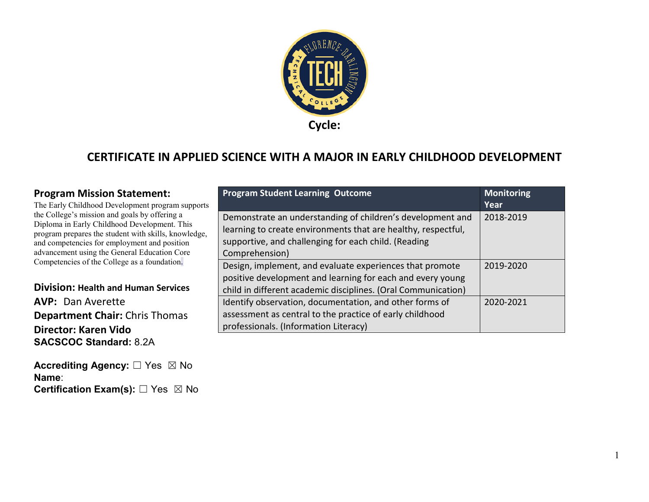

### **CERTIFICATE IN APPLIED SCIENCE WITH A MAJOR IN EARLY CHILDHOOD DEVELOPMENT**

#### **Program Mission Statement:**

The Early Childhood Development program supports the College's mission and goals by offering a Diploma in Early Childhood Development. This program prepares the student with skills, knowledge, and competencies for employment and position advancement using the General Education Core Competencies of the College as a foundation.

#### **Division: Health and Human Services AVP: Dan Averette Department Chair:** Chris Thomas **Director: Karen Vido SACSCOC Standard:** 8.2A

**Accrediting Agency:** ☐ Yes ☒ No **Name**: **Certification Exam(s):** □ Yes ⊠ No

| S | <b>Program Student Learning Outcome</b>                       | <b>Monitoring</b><br>Year |
|---|---------------------------------------------------------------|---------------------------|
|   | Demonstrate an understanding of children's development and    | 2018-2019                 |
|   | learning to create environments that are healthy, respectful, |                           |
|   | supportive, and challenging for each child. (Reading          |                           |
|   | Comprehension)                                                |                           |
|   | Design, implement, and evaluate experiences that promote      | 2019-2020                 |
|   | positive development and learning for each and every young    |                           |
|   | child in different academic disciplines. (Oral Communication) |                           |
|   | Identify observation, documentation, and other forms of       | 2020-2021                 |
|   | assessment as central to the practice of early childhood      |                           |
|   | professionals. (Information Literacy)                         |                           |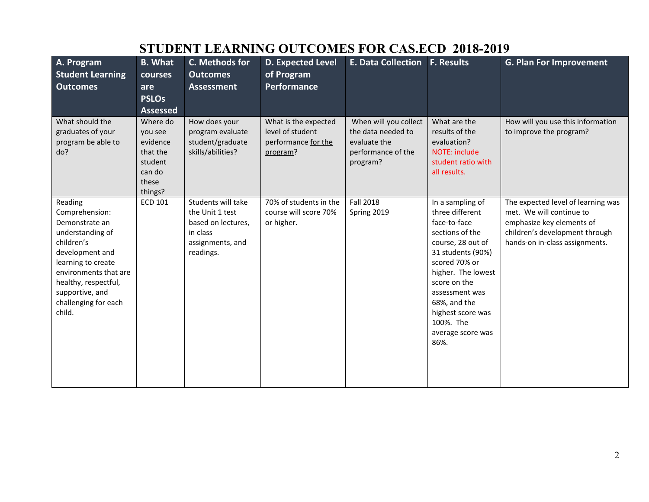| STUDENT LEARNING OUTCOMES FOR CAS.ECD ZUI0-ZUI7                                                                                                                                                                              |                                                                                      |                                                                                                          |                                                                             |                                                                                               |                                                                                                                                                                                                                                                                          |                                                                                                                                                                 |  |  |
|------------------------------------------------------------------------------------------------------------------------------------------------------------------------------------------------------------------------------|--------------------------------------------------------------------------------------|----------------------------------------------------------------------------------------------------------|-----------------------------------------------------------------------------|-----------------------------------------------------------------------------------------------|--------------------------------------------------------------------------------------------------------------------------------------------------------------------------------------------------------------------------------------------------------------------------|-----------------------------------------------------------------------------------------------------------------------------------------------------------------|--|--|
| A. Program<br><b>Student Learning</b><br><b>Outcomes</b>                                                                                                                                                                     | <b>B.</b> What<br>courses<br>are<br><b>PSLOs</b><br><b>Assessed</b>                  | C. Methods for<br><b>Outcomes</b><br><b>Assessment</b>                                                   | <b>D. Expected Level</b><br>of Program<br><b>Performance</b>                | <b>E. Data Collection F. Results</b>                                                          |                                                                                                                                                                                                                                                                          | <b>G. Plan For Improvement</b>                                                                                                                                  |  |  |
| What should the<br>graduates of your<br>program be able to<br>do?                                                                                                                                                            | Where do<br>you see<br>evidence<br>that the<br>student<br>can do<br>these<br>things? | How does your<br>program evaluate<br>student/graduate<br>skills/abilities?                               | What is the expected<br>level of student<br>performance for the<br>program? | When will you collect<br>the data needed to<br>evaluate the<br>performance of the<br>program? | What are the<br>results of the<br>evaluation?<br><b>NOTE: include</b><br>student ratio with<br>all results.                                                                                                                                                              | How will you use this information<br>to improve the program?                                                                                                    |  |  |
| Reading<br>Comprehension:<br>Demonstrate an<br>understanding of<br>children's<br>development and<br>learning to create<br>environments that are<br>healthy, respectful,<br>supportive, and<br>challenging for each<br>child. | ECD 101                                                                              | Students will take<br>the Unit 1 test<br>based on lectures,<br>in class<br>assignments, and<br>readings. | 70% of students in the<br>course will score 70%<br>or higher.               | <b>Fall 2018</b><br>Spring 2019                                                               | In a sampling of<br>three different<br>face-to-face<br>sections of the<br>course, 28 out of<br>31 students (90%)<br>scored 70% or<br>higher. The lowest<br>score on the<br>assessment was<br>68%, and the<br>highest score was<br>100%. The<br>average score was<br>86%. | The expected level of learning was<br>met. We will continue to<br>emphasize key elements of<br>children's development through<br>hands-on in-class assignments. |  |  |

## **STUDENT LEARNING OUTCOMES FOR CAS.ECD 2018-2019**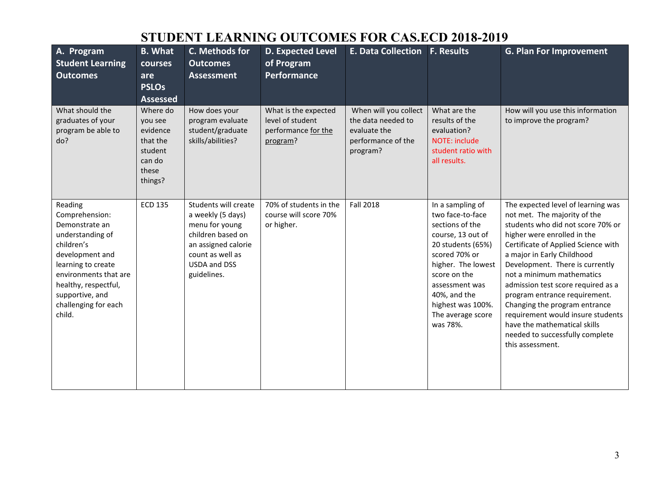## **STUDENT LEARNING OUTCOMES FOR CAS.ECD 2018-2019**

| A. Program<br><b>Student Learning</b><br><b>Outcomes</b>                                                                                                                                                                     | <b>B.</b> What<br>courses<br>are<br><b>PSLOs</b><br><b>Assessed</b>                  | C. Methods for<br><b>Outcomes</b><br><b>Assessment</b>                                                                                                     | D. Expected Level<br>of Program<br><b>Performance</b>                       | E. Data Collection F. Results                                                                 |                                                                                                                                                                                                                                                  | <b>G. Plan For Improvement</b>                                                                                                                                                                                                                                                                                                                                                                                                                                                                                  |
|------------------------------------------------------------------------------------------------------------------------------------------------------------------------------------------------------------------------------|--------------------------------------------------------------------------------------|------------------------------------------------------------------------------------------------------------------------------------------------------------|-----------------------------------------------------------------------------|-----------------------------------------------------------------------------------------------|--------------------------------------------------------------------------------------------------------------------------------------------------------------------------------------------------------------------------------------------------|-----------------------------------------------------------------------------------------------------------------------------------------------------------------------------------------------------------------------------------------------------------------------------------------------------------------------------------------------------------------------------------------------------------------------------------------------------------------------------------------------------------------|
| What should the<br>graduates of your<br>program be able to<br>do?                                                                                                                                                            | Where do<br>you see<br>evidence<br>that the<br>student<br>can do<br>these<br>things? | How does your<br>program evaluate<br>student/graduate<br>skills/abilities?                                                                                 | What is the expected<br>level of student<br>performance for the<br>program? | When will you collect<br>the data needed to<br>evaluate the<br>performance of the<br>program? | What are the<br>results of the<br>evaluation?<br>NOTE: include<br>student ratio with<br>all results.                                                                                                                                             | How will you use this information<br>to improve the program?                                                                                                                                                                                                                                                                                                                                                                                                                                                    |
| Reading<br>Comprehension:<br>Demonstrate an<br>understanding of<br>children's<br>development and<br>learning to create<br>environments that are<br>healthy, respectful,<br>supportive, and<br>challenging for each<br>child. | <b>ECD 135</b>                                                                       | Students will create<br>a weekly (5 days)<br>menu for young<br>children based on<br>an assigned calorie<br>count as well as<br>USDA and DSS<br>guidelines. | 70% of students in the<br>course will score 70%<br>or higher.               | <b>Fall 2018</b>                                                                              | In a sampling of<br>two face-to-face<br>sections of the<br>course, 13 out of<br>20 students (65%)<br>scored 70% or<br>higher. The lowest<br>score on the<br>assessment was<br>40%, and the<br>highest was 100%.<br>The average score<br>was 78%. | The expected level of learning was<br>not met. The majority of the<br>students who did not score 70% or<br>higher were enrolled in the<br>Certificate of Applied Science with<br>a major in Early Childhood<br>Development. There is currently<br>not a minimum mathematics<br>admission test score required as a<br>program entrance requirement.<br>Changing the program entrance<br>requirement would insure students<br>have the mathematical skills<br>needed to successfully complete<br>this assessment. |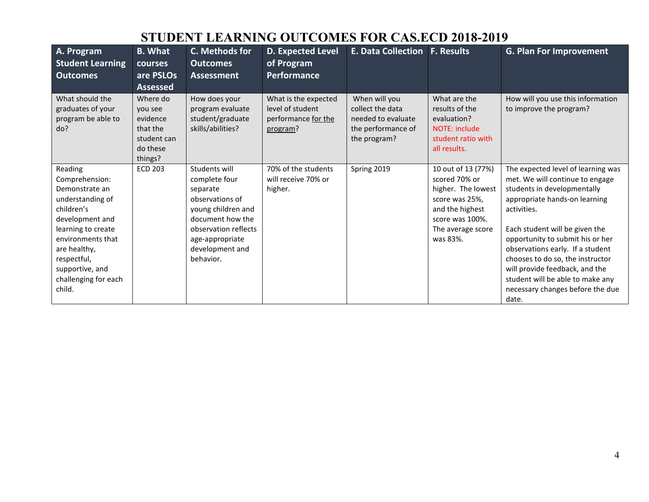## **STUDENT LEARNING OUTCOMES FOR CAS.ECD 2018-2019**

| A. Program<br><b>Student Learning</b><br><b>Outcomes</b>                                                                                                                                                                        | <b>B.</b> What<br><b>courses</b><br>are PSLOs<br><b>Assessed</b>                  | C. Methods for<br><b>Outcomes</b><br><b>Assessment</b>                                                                                                                             | <b>D. Expected Level</b><br>of Program<br><b>Performance</b>                | <b>E. Data Collection F. Results</b>                                                          |                                                                                                                                                    | <b>G. Plan For Improvement</b>                                                                                                                                                                                                                                                                                                                                                                                        |
|---------------------------------------------------------------------------------------------------------------------------------------------------------------------------------------------------------------------------------|-----------------------------------------------------------------------------------|------------------------------------------------------------------------------------------------------------------------------------------------------------------------------------|-----------------------------------------------------------------------------|-----------------------------------------------------------------------------------------------|----------------------------------------------------------------------------------------------------------------------------------------------------|-----------------------------------------------------------------------------------------------------------------------------------------------------------------------------------------------------------------------------------------------------------------------------------------------------------------------------------------------------------------------------------------------------------------------|
| What should the<br>graduates of your<br>program be able to<br>do?                                                                                                                                                               | Where do<br>vou see<br>evidence<br>that the<br>student can<br>do these<br>things? | How does your<br>program evaluate<br>student/graduate<br>skills/abilities?                                                                                                         | What is the expected<br>level of student<br>performance for the<br>program? | When will you<br>collect the data<br>needed to evaluate<br>the performance of<br>the program? | What are the<br>results of the<br>evaluation?<br>NOTE: include<br>student ratio with<br>all results.                                               | How will you use this information<br>to improve the program?                                                                                                                                                                                                                                                                                                                                                          |
| Reading<br>Comprehension:<br>Demonstrate an<br>understanding of<br>children's<br>development and<br>learning to create<br>environments that<br>are healthy,<br>respectful,<br>supportive, and<br>challenging for each<br>child. | <b>ECD 203</b>                                                                    | Students will<br>complete four<br>separate<br>observations of<br>young children and<br>document how the<br>observation reflects<br>age-appropriate<br>development and<br>behavior. | 70% of the students<br>will receive 70% or<br>higher.                       | Spring 2019                                                                                   | 10 out of 13 (77%)<br>scored 70% or<br>higher. The lowest<br>score was 25%,<br>and the highest<br>score was 100%.<br>The average score<br>was 83%. | The expected level of learning was<br>met. We will continue to engage<br>students in developmentally<br>appropriate hands-on learning<br>activities.<br>Each student will be given the<br>opportunity to submit his or her<br>observations early. If a student<br>chooses to do so, the instructor<br>will provide feedback, and the<br>student will be able to make any<br>necessary changes before the due<br>date. |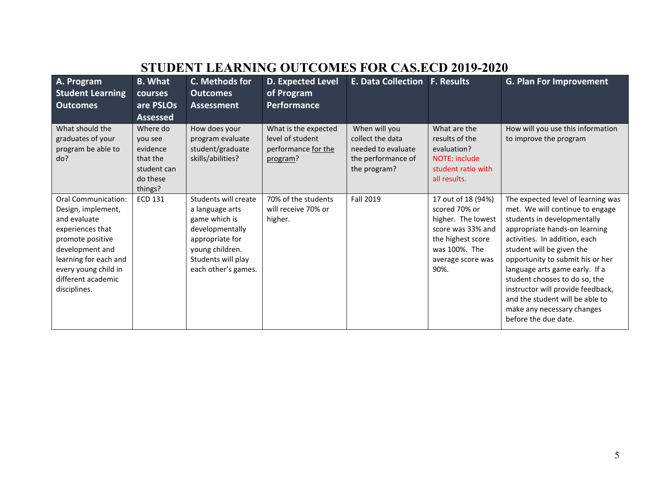# **STUDENT LEARNING OUTCOMES FOR CAS.ECD 2019-2020**

| A. Program<br><b>Student Learning</b><br><b>Outcomes</b>                                                                                                                                                    | <b>B.</b> What<br>courses<br>are PSLOs<br><b>Assessed</b>                         | C. Methods for<br><b>Outcomes</b><br><b>Assessment</b>                                                                                                         | <b>D. Expected Level</b><br>of Program<br><b>Performance</b>                | <b>E. Data Collection</b>                                                                     | <b>F. Results</b>                                                                                                                                 | <b>G. Plan For Improvement</b>                                                                                                                                                                                                                                                                                                                                                                                                           |
|-------------------------------------------------------------------------------------------------------------------------------------------------------------------------------------------------------------|-----------------------------------------------------------------------------------|----------------------------------------------------------------------------------------------------------------------------------------------------------------|-----------------------------------------------------------------------------|-----------------------------------------------------------------------------------------------|---------------------------------------------------------------------------------------------------------------------------------------------------|------------------------------------------------------------------------------------------------------------------------------------------------------------------------------------------------------------------------------------------------------------------------------------------------------------------------------------------------------------------------------------------------------------------------------------------|
| What should the<br>graduates of your<br>program be able to<br>do?                                                                                                                                           | Where do<br>you see<br>evidence<br>that the<br>student can<br>do these<br>things? | How does your<br>program evaluate<br>student/graduate<br>skills/abilities?                                                                                     | What is the expected<br>level of student<br>performance for the<br>program? | When will you<br>collect the data<br>needed to evaluate<br>the performance of<br>the program? | What are the<br>results of the<br>evaluation?<br>NOTE: include<br>student ratio with<br>all results.                                              | How will you use this information<br>to improve the program                                                                                                                                                                                                                                                                                                                                                                              |
| Oral Communication:<br>Design, implement,<br>and evaluate<br>experiences that<br>promote positive<br>development and<br>learning for each and<br>every young child in<br>different academic<br>disciplines. | <b>ECD 131</b>                                                                    | Students will create<br>a language arts<br>game which is<br>developmentally<br>appropriate for<br>young children.<br>Students will play<br>each other's games. | 70% of the students<br>will receive 70% or<br>higher.                       | Fall 2019                                                                                     | 17 out of 18 (94%)<br>scored 70% or<br>higher. The lowest<br>score was 33% and<br>the highest score<br>was 100%. The<br>average score was<br>90%. | The expected level of learning was<br>met. We will continue to engage<br>students in developmentally<br>appropriate hands-on learning<br>activities. In addition, each<br>student will be given the<br>opportunity to submit his or her<br>language arts game early. If a<br>student chooses to do so, the<br>instructor will provide feedback,<br>and the student will be able to<br>make any necessary changes<br>before the due date. |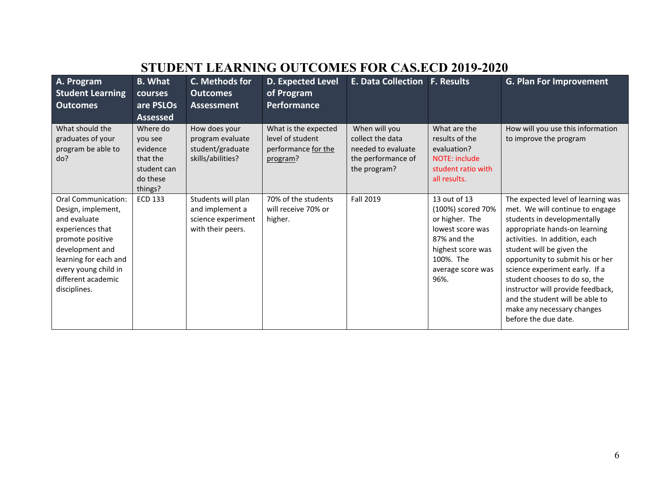# **STUDENT LEARNING OUTCOMES FOR CAS.ECD 2019-2020**

| A. Program<br><b>Student Learning</b><br><b>Outcomes</b>                                                                                                                                                    | <b>B.</b> What<br>courses<br>are PSLOs<br><b>Assessed</b>                         | C. Methods for<br><b>Outcomes</b><br><b>Assessment</b>                           | <b>D. Expected Level</b><br>of Program<br><b>Performance</b>                | <b>E. Data Collection</b>                                                                     | <b>F. Results</b>                                                                                                                                     | <b>G. Plan For Improvement</b>                                                                                                                                                                                                                                                                                                                                                                                                           |
|-------------------------------------------------------------------------------------------------------------------------------------------------------------------------------------------------------------|-----------------------------------------------------------------------------------|----------------------------------------------------------------------------------|-----------------------------------------------------------------------------|-----------------------------------------------------------------------------------------------|-------------------------------------------------------------------------------------------------------------------------------------------------------|------------------------------------------------------------------------------------------------------------------------------------------------------------------------------------------------------------------------------------------------------------------------------------------------------------------------------------------------------------------------------------------------------------------------------------------|
| What should the<br>graduates of your<br>program be able to<br>do?                                                                                                                                           | Where do<br>you see<br>evidence<br>that the<br>student can<br>do these<br>things? | How does your<br>program evaluate<br>student/graduate<br>skills/abilities?       | What is the expected<br>level of student<br>performance for the<br>program? | When will you<br>collect the data<br>needed to evaluate<br>the performance of<br>the program? | What are the<br>results of the<br>evaluation?<br><b>NOTE: include</b><br>student ratio with<br>all results.                                           | How will you use this information<br>to improve the program                                                                                                                                                                                                                                                                                                                                                                              |
| Oral Communication:<br>Design, implement,<br>and evaluate<br>experiences that<br>promote positive<br>development and<br>learning for each and<br>every young child in<br>different academic<br>disciplines. | <b>ECD 133</b>                                                                    | Students will plan<br>and implement a<br>science experiment<br>with their peers. | 70% of the students<br>will receive 70% or<br>higher.                       | Fall 2019                                                                                     | 13 out of 13<br>(100%) scored 70%<br>or higher. The<br>lowest score was<br>87% and the<br>highest score was<br>100%. The<br>average score was<br>96%. | The expected level of learning was<br>met. We will continue to engage<br>students in developmentally<br>appropriate hands-on learning<br>activities. In addition, each<br>student will be given the<br>opportunity to submit his or her<br>science experiment early. If a<br>student chooses to do so, the<br>instructor will provide feedback,<br>and the student will be able to<br>make any necessary changes<br>before the due date. |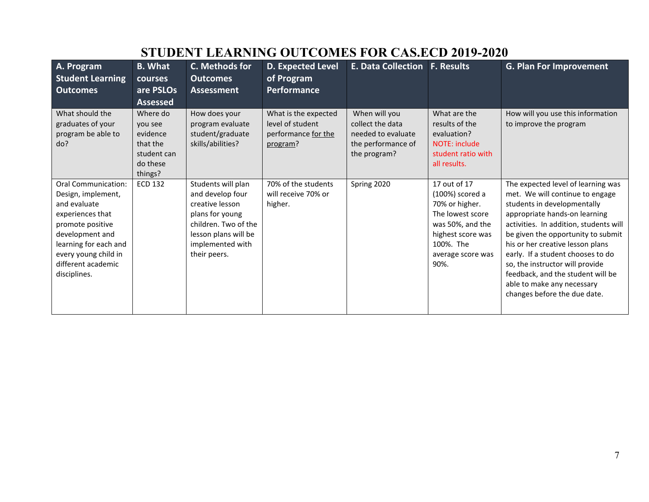| A. Program                                                                                                                                                                                                         | <b>B.</b> What                                                                    | C. Methods for                                                                                                                                                   | <b>D. Expected Level</b>                                                    | <b>E. Data Collection</b>                                                                     | <b>F.</b> Results                                                                                                                                        | <b>G. Plan For Improvement</b>                                                                                                                                                                                                                                                                                                                                                                                                       |  |  |  |
|--------------------------------------------------------------------------------------------------------------------------------------------------------------------------------------------------------------------|-----------------------------------------------------------------------------------|------------------------------------------------------------------------------------------------------------------------------------------------------------------|-----------------------------------------------------------------------------|-----------------------------------------------------------------------------------------------|----------------------------------------------------------------------------------------------------------------------------------------------------------|--------------------------------------------------------------------------------------------------------------------------------------------------------------------------------------------------------------------------------------------------------------------------------------------------------------------------------------------------------------------------------------------------------------------------------------|--|--|--|
| <b>Student Learning</b>                                                                                                                                                                                            | <b>courses</b>                                                                    | <b>Outcomes</b>                                                                                                                                                  | of Program                                                                  |                                                                                               |                                                                                                                                                          |                                                                                                                                                                                                                                                                                                                                                                                                                                      |  |  |  |
| <b>Outcomes</b>                                                                                                                                                                                                    | are PSLOs                                                                         | <b>Assessment</b>                                                                                                                                                | <b>Performance</b>                                                          |                                                                                               |                                                                                                                                                          |                                                                                                                                                                                                                                                                                                                                                                                                                                      |  |  |  |
|                                                                                                                                                                                                                    | <b>Assessed</b>                                                                   |                                                                                                                                                                  |                                                                             |                                                                                               |                                                                                                                                                          |                                                                                                                                                                                                                                                                                                                                                                                                                                      |  |  |  |
| What should the<br>graduates of your<br>program be able to<br>do?                                                                                                                                                  | Where do<br>you see<br>evidence<br>that the<br>student can<br>do these<br>things? | How does your<br>program evaluate<br>student/graduate<br>skills/abilities?                                                                                       | What is the expected<br>level of student<br>performance for the<br>program? | When will you<br>collect the data<br>needed to evaluate<br>the performance of<br>the program? | What are the<br>results of the<br>evaluation?<br><b>NOTE: include</b><br>student ratio with<br>all results.                                              | How will you use this information<br>to improve the program                                                                                                                                                                                                                                                                                                                                                                          |  |  |  |
| <b>Oral Communication:</b><br>Design, implement,<br>and evaluate<br>experiences that<br>promote positive<br>development and<br>learning for each and<br>every young child in<br>different academic<br>disciplines. | <b>ECD 132</b>                                                                    | Students will plan<br>and develop four<br>creative lesson<br>plans for young<br>children. Two of the<br>lesson plans will be<br>implemented with<br>their peers. | 70% of the students<br>will receive 70% or<br>higher.                       | Spring 2020                                                                                   | 17 out of 17<br>(100%) scored a<br>70% or higher.<br>The lowest score<br>was 50%, and the<br>highest score was<br>100%. The<br>average score was<br>90%. | The expected level of learning was<br>met. We will continue to engage<br>students in developmentally<br>appropriate hands-on learning<br>activities. In addition, students will<br>be given the opportunity to submit<br>his or her creative lesson plans<br>early. If a student chooses to do<br>so, the instructor will provide<br>feedback, and the student will be<br>able to make any necessary<br>changes before the due date. |  |  |  |

# **STUDENT LEARNING OUTCOMES FOR CAS.ECD 2019-2020**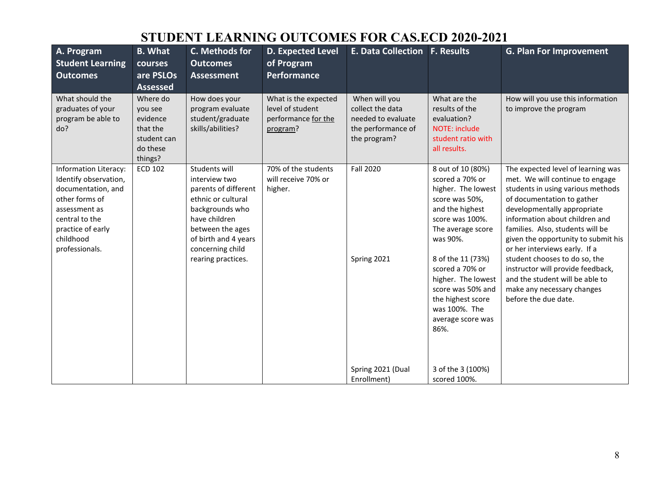## **STUDENT LEARNING OUTCOMES FOR CAS.ECD 2020-2021**

| A. Program<br><b>Student Learning</b><br><b>Outcomes</b>                                                                                                                             | <b>B.</b> What<br>courses<br>are PSLOs<br><b>Assessed</b>                         | C. Methods for<br><b>Outcomes</b><br>Assessment                                                                                                                                                        | <b>D. Expected Level</b><br>of Program<br><b>Performance</b>                | E. Data Collection F. Results                                                                 |                                                                                                                                                                                                                                                                                                           | <b>G. Plan For Improvement</b>                                                                                                                                                                                                                                                                                                                                                                                                                                                       |
|--------------------------------------------------------------------------------------------------------------------------------------------------------------------------------------|-----------------------------------------------------------------------------------|--------------------------------------------------------------------------------------------------------------------------------------------------------------------------------------------------------|-----------------------------------------------------------------------------|-----------------------------------------------------------------------------------------------|-----------------------------------------------------------------------------------------------------------------------------------------------------------------------------------------------------------------------------------------------------------------------------------------------------------|--------------------------------------------------------------------------------------------------------------------------------------------------------------------------------------------------------------------------------------------------------------------------------------------------------------------------------------------------------------------------------------------------------------------------------------------------------------------------------------|
| What should the<br>graduates of your<br>program be able to<br>do?                                                                                                                    | Where do<br>you see<br>evidence<br>that the<br>student can<br>do these<br>things? | How does your<br>program evaluate<br>student/graduate<br>skills/abilities?                                                                                                                             | What is the expected<br>level of student<br>performance for the<br>program? | When will you<br>collect the data<br>needed to evaluate<br>the performance of<br>the program? | What are the<br>results of the<br>evaluation?<br>NOTE: include<br>student ratio with<br>all results.                                                                                                                                                                                                      | How will you use this information<br>to improve the program                                                                                                                                                                                                                                                                                                                                                                                                                          |
| <b>Information Literacy:</b><br>Identify observation,<br>documentation, and<br>other forms of<br>assessment as<br>central to the<br>practice of early<br>childhood<br>professionals. | <b>ECD 102</b>                                                                    | Students will<br>interview two<br>parents of different<br>ethnic or cultural<br>backgrounds who<br>have children<br>between the ages<br>of birth and 4 years<br>concerning child<br>rearing practices. | 70% of the students<br>will receive 70% or<br>higher.                       | <b>Fall 2020</b><br>Spring 2021                                                               | 8 out of 10 (80%)<br>scored a 70% or<br>higher. The lowest<br>score was 50%,<br>and the highest<br>score was 100%.<br>The average score<br>was 90%.<br>8 of the 11 (73%)<br>scored a 70% or<br>higher. The lowest<br>score was 50% and<br>the highest score<br>was 100%. The<br>average score was<br>86%. | The expected level of learning was<br>met. We will continue to engage<br>students in using various methods<br>of documentation to gather<br>developmentally appropriate<br>information about children and<br>families. Also, students will be<br>given the opportunity to submit his<br>or her interviews early. If a<br>student chooses to do so, the<br>instructor will provide feedback,<br>and the student will be able to<br>make any necessary changes<br>before the due date. |
|                                                                                                                                                                                      |                                                                                   |                                                                                                                                                                                                        |                                                                             | Spring 2021 (Dual<br>Enrollment)                                                              | 3 of the 3 (100%)<br>scored 100%.                                                                                                                                                                                                                                                                         |                                                                                                                                                                                                                                                                                                                                                                                                                                                                                      |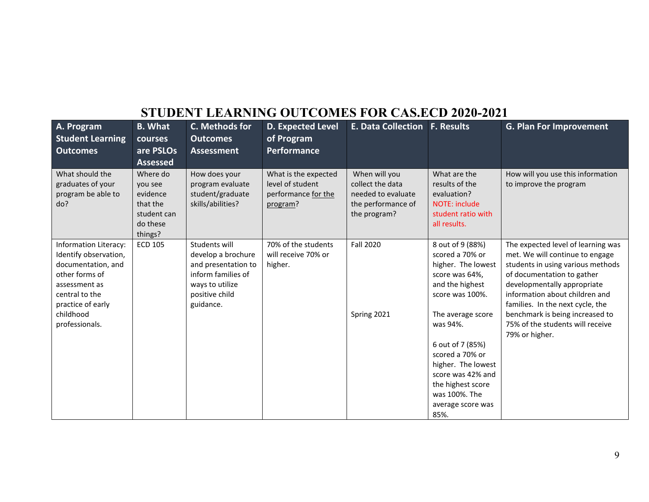## **STUDENT LEARNING OUTCOMES FOR CAS.ECD 2020-2021**

| A. Program<br><b>Student Learning</b><br><b>Outcomes</b>                                                                                       | <b>B.</b> What<br><b>courses</b><br>are PSLOs<br><b>Assessed</b>                  | C. Methods for<br><b>Outcomes</b><br>Assessment                                                                                    | <b>D. Expected Level</b><br>of Program<br><b>Performance</b>                | <b>E. Data Collection F. Results</b>                                                          |                                                                                                                                                                                    | <b>G. Plan For Improvement</b>                                                                                                                                                                                                                |
|------------------------------------------------------------------------------------------------------------------------------------------------|-----------------------------------------------------------------------------------|------------------------------------------------------------------------------------------------------------------------------------|-----------------------------------------------------------------------------|-----------------------------------------------------------------------------------------------|------------------------------------------------------------------------------------------------------------------------------------------------------------------------------------|-----------------------------------------------------------------------------------------------------------------------------------------------------------------------------------------------------------------------------------------------|
| What should the<br>graduates of your<br>program be able to<br>do?                                                                              | Where do<br>you see<br>evidence<br>that the<br>student can<br>do these<br>things? | How does your<br>program evaluate<br>student/graduate<br>skills/abilities?                                                         | What is the expected<br>level of student<br>performance for the<br>program? | When will you<br>collect the data<br>needed to evaluate<br>the performance of<br>the program? | What are the<br>results of the<br>evaluation?<br><b>NOTE: include</b><br>student ratio with<br>all results.                                                                        | How will you use this information<br>to improve the program                                                                                                                                                                                   |
| Information Literacy:<br>Identify observation,<br>documentation, and<br>other forms of<br>assessment as<br>central to the<br>practice of early | <b>ECD 105</b>                                                                    | Students will<br>develop a brochure<br>and presentation to<br>inform families of<br>ways to utilize<br>positive child<br>guidance. | 70% of the students<br>will receive 70% or<br>higher.                       | <b>Fall 2020</b>                                                                              | 8 out of 9 (88%)<br>scored a 70% or<br>higher. The lowest<br>score was 64%,<br>and the highest<br>score was 100%.                                                                  | The expected level of learning was<br>met. We will continue to engage<br>students in using various methods<br>of documentation to gather<br>developmentally appropriate<br>information about children and<br>families. In the next cycle, the |
| childhood<br>professionals.                                                                                                                    |                                                                                   |                                                                                                                                    |                                                                             | Spring 2021                                                                                   | The average score<br>was 94%.<br>6 out of 7 (85%)<br>scored a 70% or<br>higher. The lowest<br>score was 42% and<br>the highest score<br>was 100%. The<br>average score was<br>85%. | benchmark is being increased to<br>75% of the students will receive<br>79% or higher.                                                                                                                                                         |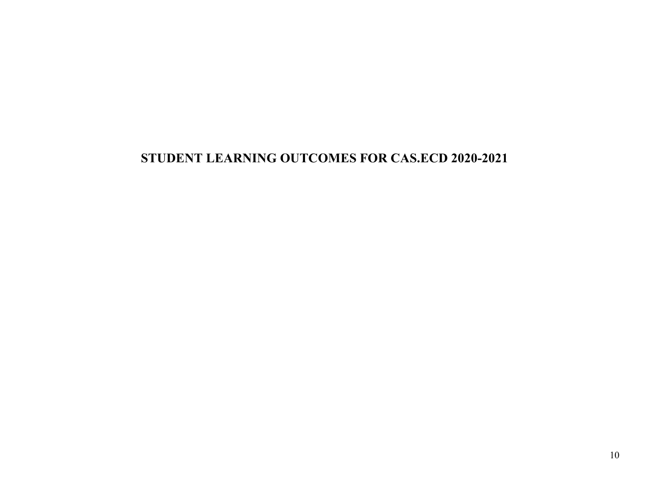## **STUDENT LEARNING OUTCOMES FOR CAS.ECD 2020-2021**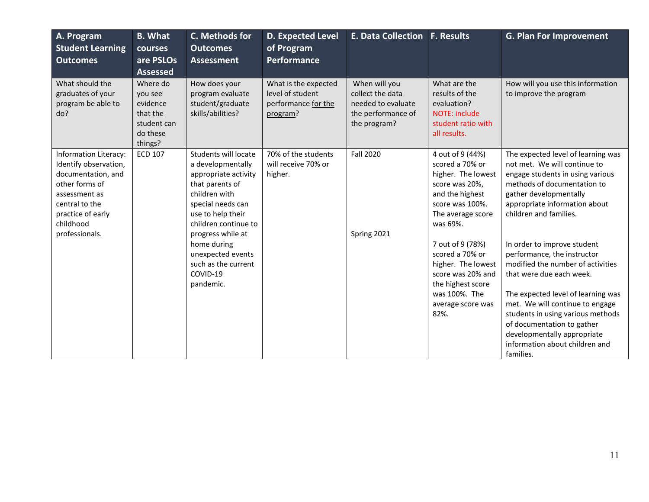| A. Program<br><b>Student Learning</b><br><b>Outcomes</b>                                                                                                                      | <b>B.</b> What<br>courses<br>are PSLOs<br><b>Assessed</b>                         | C. Methods for<br><b>Outcomes</b><br><b>Assessment</b>                                                                                                                                                                                                                           | <b>D. Expected Level</b><br>of Program<br>Performance                       | E. Data Collection F. Results                                                                 |                                                                                                                                                                                                                                                                                                         | <b>G. Plan For Improvement</b>                                                                                                                                                                                                                                                                                                                                                                                                                                                                                                                                                      |
|-------------------------------------------------------------------------------------------------------------------------------------------------------------------------------|-----------------------------------------------------------------------------------|----------------------------------------------------------------------------------------------------------------------------------------------------------------------------------------------------------------------------------------------------------------------------------|-----------------------------------------------------------------------------|-----------------------------------------------------------------------------------------------|---------------------------------------------------------------------------------------------------------------------------------------------------------------------------------------------------------------------------------------------------------------------------------------------------------|-------------------------------------------------------------------------------------------------------------------------------------------------------------------------------------------------------------------------------------------------------------------------------------------------------------------------------------------------------------------------------------------------------------------------------------------------------------------------------------------------------------------------------------------------------------------------------------|
| What should the<br>graduates of your<br>program be able to<br>do?                                                                                                             | Where do<br>you see<br>evidence<br>that the<br>student can<br>do these<br>things? | How does your<br>program evaluate<br>student/graduate<br>skills/abilities?                                                                                                                                                                                                       | What is the expected<br>level of student<br>performance for the<br>program? | When will you<br>collect the data<br>needed to evaluate<br>the performance of<br>the program? | What are the<br>results of the<br>evaluation?<br>NOTE: include<br>student ratio with<br>all results.                                                                                                                                                                                                    | How will you use this information<br>to improve the program                                                                                                                                                                                                                                                                                                                                                                                                                                                                                                                         |
| Information Literacy:<br>Identify observation,<br>documentation, and<br>other forms of<br>assessment as<br>central to the<br>practice of early<br>childhood<br>professionals. | <b>ECD 107</b>                                                                    | Students will locate<br>a developmentally<br>appropriate activity<br>that parents of<br>children with<br>special needs can<br>use to help their<br>children continue to<br>progress while at<br>home during<br>unexpected events<br>such as the current<br>COVID-19<br>pandemic. | 70% of the students<br>will receive 70% or<br>higher.                       | <b>Fall 2020</b><br>Spring 2021                                                               | 4 out of 9 (44%)<br>scored a 70% or<br>higher. The lowest<br>score was 20%,<br>and the highest<br>score was 100%.<br>The average score<br>was 69%.<br>7 out of 9 (78%)<br>scored a 70% or<br>higher. The lowest<br>score was 20% and<br>the highest score<br>was 100%. The<br>average score was<br>82%. | The expected level of learning was<br>not met. We will continue to<br>engage students in using various<br>methods of documentation to<br>gather developmentally<br>appropriate information about<br>children and families.<br>In order to improve student<br>performance, the instructor<br>modified the number of activities<br>that were due each week.<br>The expected level of learning was<br>met. We will continue to engage<br>students in using various methods<br>of documentation to gather<br>developmentally appropriate<br>information about children and<br>families. |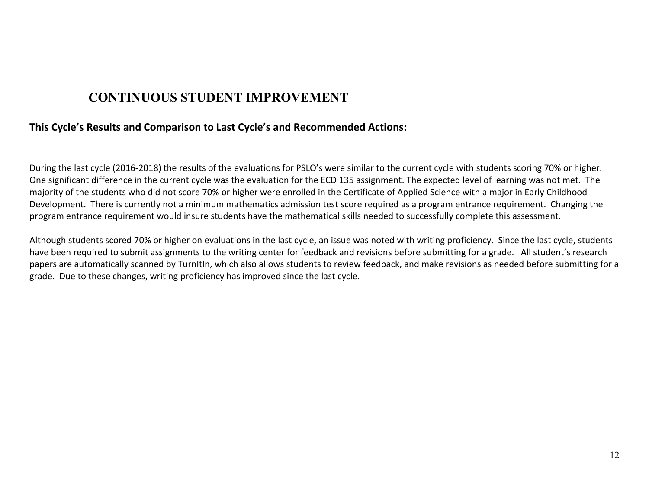### **CONTINUOUS STUDENT IMPROVEMENT**

#### **This Cycle's Results and Comparison to Last Cycle's and Recommended Actions:**

During the last cycle (2016-2018) the results of the evaluations for PSLO's were similar to the current cycle with students scoring 70% or higher. One significant difference in the current cycle was the evaluation for the ECD 135 assignment. The expected level of learning was not met. The majority of the students who did not score 70% or higher were enrolled in the Certificate of Applied Science with a major in Early Childhood Development. There is currently not a minimum mathematics admission test score required as a program entrance requirement. Changing the program entrance requirement would insure students have the mathematical skills needed to successfully complete this assessment.

Although students scored 70% or higher on evaluations in the last cycle, an issue was noted with writing proficiency. Since the last cycle, students have been required to submit assignments to the writing center for feedback and revisions before submitting for a grade. All student's research papers are automatically scanned by TurnItIn, which also allows students to review feedback, and make revisions as needed before submitting for a grade. Due to these changes, writing proficiency has improved since the last cycle.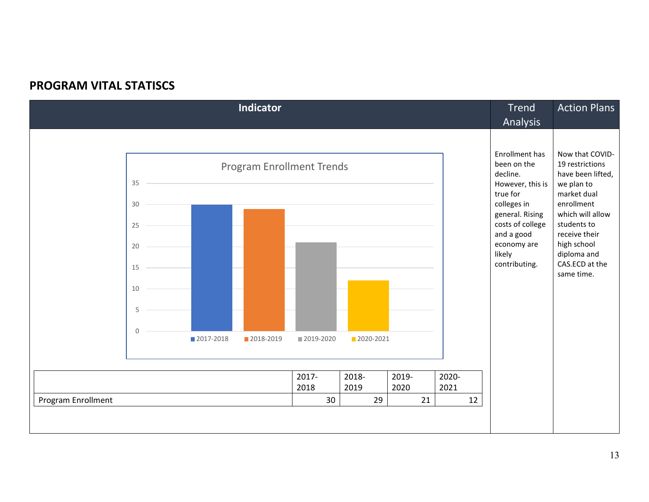### **PROGRAM VITAL STATISCS**

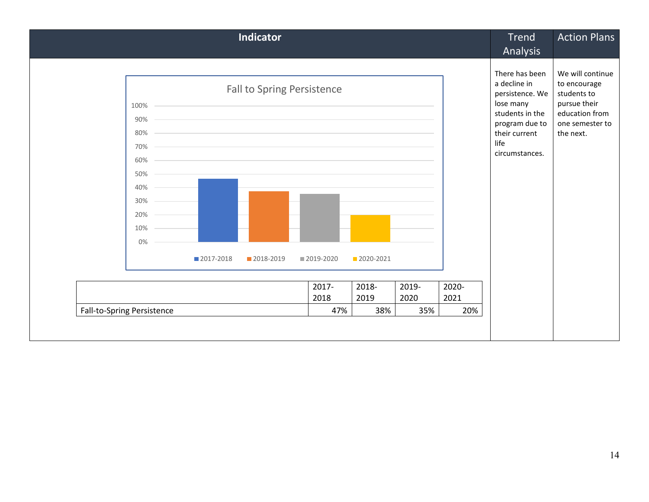|                                                                           |             | <b>Indicator</b>                                                                                                                                                                                                                                                                                                                                                                |               |               |               |               | <b>Trend</b>                                                                                                                                   | <b>Action Plans</b>                                                                                               |
|---------------------------------------------------------------------------|-------------|---------------------------------------------------------------------------------------------------------------------------------------------------------------------------------------------------------------------------------------------------------------------------------------------------------------------------------------------------------------------------------|---------------|---------------|---------------|---------------|------------------------------------------------------------------------------------------------------------------------------------------------|-------------------------------------------------------------------------------------------------------------------|
|                                                                           |             |                                                                                                                                                                                                                                                                                                                                                                                 |               |               |               |               | Analysis                                                                                                                                       |                                                                                                                   |
| 100%<br>90%<br>80%<br>70%<br>60%<br>50%<br>40%<br>30%<br>20%<br>10%<br>0% | ■ 2017-2018 | Fall to Spring Persistence<br>the control of the control of the control of the control of the control of the control of the control of the control of the control of the control of the control of the control of the control of the control of the control<br>the contract of the contract of the contract of the contract of the contract of the contract of the<br>2018-2019 | ■ 2019-2020   | 2020-2021     |               |               | There has been<br>a decline in<br>persistence. We<br>lose many<br>students in the<br>program due to<br>their current<br>life<br>circumstances. | We will continue<br>to encourage<br>students to<br>pursue their<br>education from<br>one semester to<br>the next. |
|                                                                           |             |                                                                                                                                                                                                                                                                                                                                                                                 |               |               |               |               |                                                                                                                                                |                                                                                                                   |
|                                                                           |             |                                                                                                                                                                                                                                                                                                                                                                                 | 2017-<br>2018 | 2018-<br>2019 | 2019-<br>2020 | 2020-<br>2021 |                                                                                                                                                |                                                                                                                   |
| Fall-to-Spring Persistence                                                |             |                                                                                                                                                                                                                                                                                                                                                                                 | 47%           | 38%           | 35%           | 20%           |                                                                                                                                                |                                                                                                                   |
|                                                                           |             |                                                                                                                                                                                                                                                                                                                                                                                 |               |               |               |               |                                                                                                                                                |                                                                                                                   |
|                                                                           |             |                                                                                                                                                                                                                                                                                                                                                                                 |               |               |               |               |                                                                                                                                                |                                                                                                                   |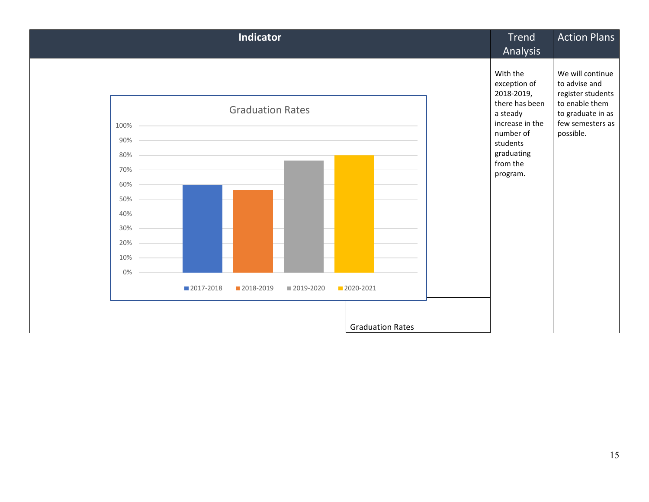